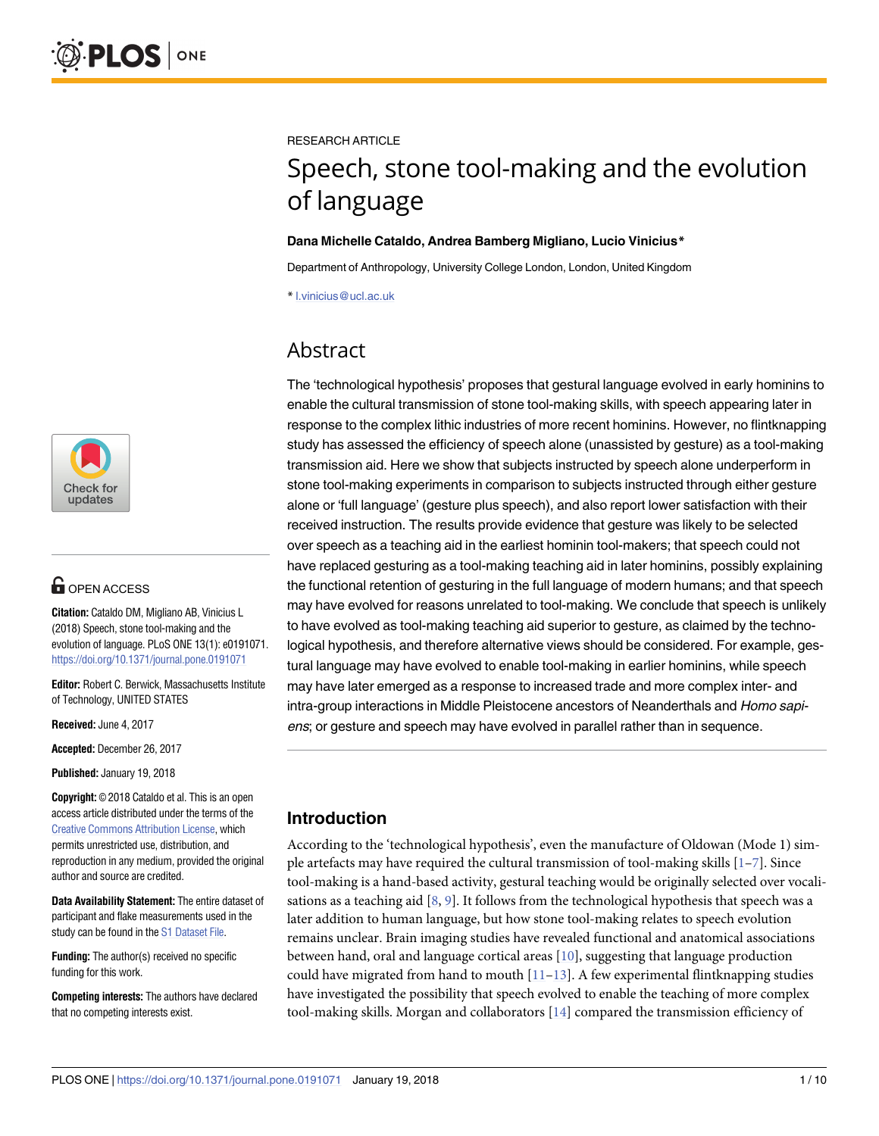

# **OPEN ACCESS**

**Citation:** Cataldo DM, Migliano AB, Vinicius L (2018) Speech, stone tool-making and the evolution of language. PLoS ONE 13(1): e0191071. <https://doi.org/10.1371/journal.pone.0191071>

**Editor:** Robert C. Berwick, Massachusetts Institute of Technology, UNITED STATES

**Received:** June 4, 2017

**Accepted:** December 26, 2017

**Published:** January 19, 2018

**Copyright:** © 2018 Cataldo et al. This is an open access article distributed under the terms of the Creative Commons [Attribution](http://creativecommons.org/licenses/by/4.0/) License, which permits unrestricted use, distribution, and reproduction in any medium, provided the original author and source are credited.

**Data Availability Statement:** The entire dataset of participant and flake measurements used in the study can be found in the S1 [Dataset](#page-7-0) File.

**Funding:** The author(s) received no specific funding for this work.

**Competing interests:** The authors have declared that no competing interests exist.

<span id="page-0-0"></span>RESEARCH ARTICLE

# Speech, stone tool-making and the evolution of language

#### **Dana Michelle Cataldo, Andrea Bamberg Migliano, Lucio Vinicius\***

Department of Anthropology, University College London, London, United Kingdom

\* l.vinicius@ucl.ac.uk

# Abstract

The 'technological hypothesis' proposes that gestural language evolved in early hominins to enable the cultural transmission of stone tool-making skills, with speech appearing later in response to the complex lithic industries of more recent hominins. However, no flintknapping study has assessed the efficiency of speech alone (unassisted by gesture) as a tool-making transmission aid. Here we show that subjects instructed by speech alone underperform in stone tool-making experiments in comparison to subjects instructed through either gesture alone or 'full language' (gesture plus speech), and also report lower satisfaction with their received instruction. The results provide evidence that gesture was likely to be selected over speech as a teaching aid in the earliest hominin tool-makers; that speech could not have replaced gesturing as a tool-making teaching aid in later hominins, possibly explaining the functional retention of gesturing in the full language of modern humans; and that speech may have evolved for reasons unrelated to tool-making. We conclude that speech is unlikely to have evolved as tool-making teaching aid superior to gesture, as claimed by the technological hypothesis, and therefore alternative views should be considered. For example, gestural language may have evolved to enable tool-making in earlier hominins, while speech may have later emerged as a response to increased trade and more complex inter- and intra-group interactions in Middle Pleistocene ancestors of Neanderthals and Homo sapiens; or gesture and speech may have evolved in parallel rather than in sequence.

# **Introduction**

According to the 'technological hypothesis', even the manufacture of Oldowan (Mode 1) simple artefacts may have required the cultural transmission of tool-making skills [\[1–7\]](#page-8-0). Since tool-making is a hand-based activity, gestural teaching would be originally selected over vocalisations as a teaching aid  $[8, 9]$  $[8, 9]$  $[8, 9]$  $[8, 9]$ . It follows from the technological hypothesis that speech was a later addition to human language, but how stone tool-making relates to speech evolution remains unclear. Brain imaging studies have revealed functional and anatomical associations between hand, oral and language cortical areas  $[10]$  $[10]$  $[10]$ , suggesting that language production could have migrated from hand to mouth  $[11-13]$ . A few experimental flintknapping studies have investigated the possibility that speech evolved to enable the teaching of more complex tool-making skills. Morgan and collaborators [\[14\]](#page-8-0) compared the transmission efficiency of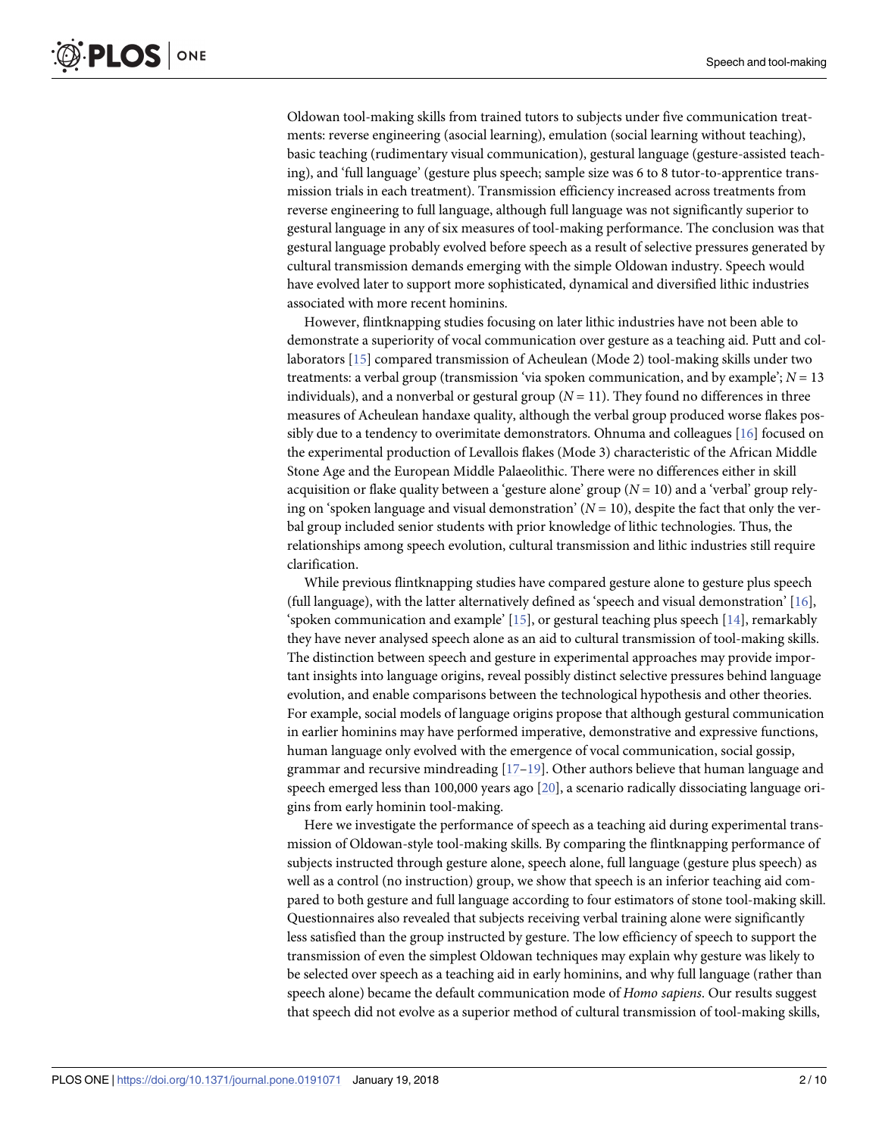<span id="page-1-0"></span>Oldowan tool-making skills from trained tutors to subjects under five communication treatments: reverse engineering (asocial learning), emulation (social learning without teaching), basic teaching (rudimentary visual communication), gestural language (gesture-assisted teaching), and 'full language' (gesture plus speech; sample size was 6 to 8 tutor-to-apprentice transmission trials in each treatment). Transmission efficiency increased across treatments from reverse engineering to full language, although full language was not significantly superior to gestural language in any of six measures of tool-making performance. The conclusion was that gestural language probably evolved before speech as a result of selective pressures generated by cultural transmission demands emerging with the simple Oldowan industry. Speech would have evolved later to support more sophisticated, dynamical and diversified lithic industries associated with more recent hominins.

However, flintknapping studies focusing on later lithic industries have not been able to demonstrate a superiority of vocal communication over gesture as a teaching aid. Putt and collaborators [\[15](#page-8-0)] compared transmission of Acheulean (Mode 2) tool-making skills under two treatments: a verbal group (transmission 'via spoken communication, and by example'; *N* = 13 individuals), and a nonverbal or gestural group  $(N = 11)$ . They found no differences in three measures of Acheulean handaxe quality, although the verbal group produced worse flakes possibly due to a tendency to overimitate demonstrators. Ohnuma and colleagues [[16](#page-8-0)] focused on the experimental production of Levallois flakes (Mode 3) characteristic of the African Middle Stone Age and the European Middle Palaeolithic. There were no differences either in skill acquisition or flake quality between a 'gesture alone' group  $(N = 10)$  and a 'verbal' group relying on 'spoken language and visual demonstration'  $(N = 10)$ , despite the fact that only the verbal group included senior students with prior knowledge of lithic technologies. Thus, the relationships among speech evolution, cultural transmission and lithic industries still require clarification.

While previous flintknapping studies have compared gesture alone to gesture plus speech (full language), with the latter alternatively defined as 'speech and visual demonstration' [[16](#page-8-0)], 'spoken communication and example' [\[15\]](#page-8-0), or gestural teaching plus speech [\[14\]](#page-8-0), remarkably they have never analysed speech alone as an aid to cultural transmission of tool-making skills. The distinction between speech and gesture in experimental approaches may provide important insights into language origins, reveal possibly distinct selective pressures behind language evolution, and enable comparisons between the technological hypothesis and other theories. For example, social models of language origins propose that although gestural communication in earlier hominins may have performed imperative, demonstrative and expressive functions, human language only evolved with the emergence of vocal communication, social gossip, grammar and recursive mindreading  $[17-19]$ . Other authors believe that human language and speech emerged less than 100,000 years ago [\[20\]](#page-8-0), a scenario radically dissociating language origins from early hominin tool-making.

Here we investigate the performance of speech as a teaching aid during experimental transmission of Oldowan-style tool-making skills. By comparing the flintknapping performance of subjects instructed through gesture alone, speech alone, full language (gesture plus speech) as well as a control (no instruction) group, we show that speech is an inferior teaching aid compared to both gesture and full language according to four estimators of stone tool-making skill. Questionnaires also revealed that subjects receiving verbal training alone were significantly less satisfied than the group instructed by gesture. The low efficiency of speech to support the transmission of even the simplest Oldowan techniques may explain why gesture was likely to be selected over speech as a teaching aid in early hominins, and why full language (rather than speech alone) became the default communication mode of *Homo sapiens*. Our results suggest that speech did not evolve as a superior method of cultural transmission of tool-making skills,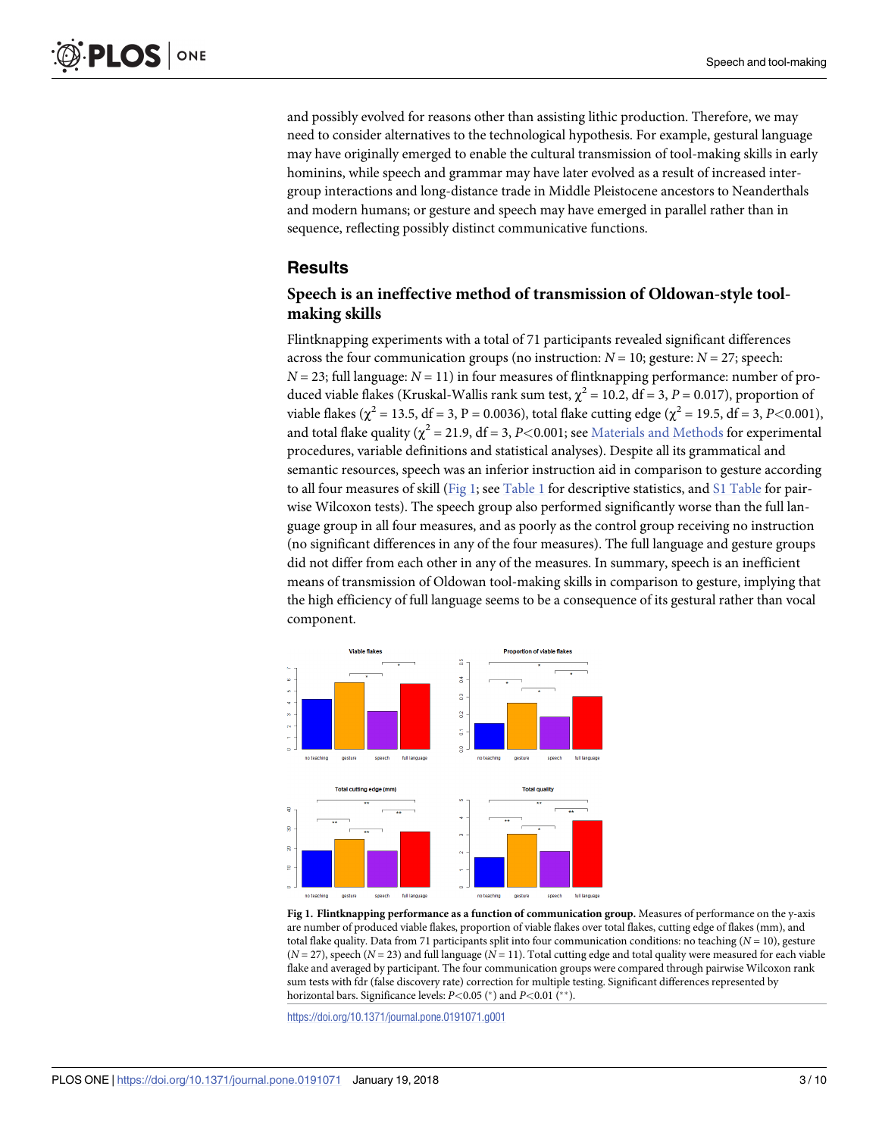<span id="page-2-0"></span>and possibly evolved for reasons other than assisting lithic production. Therefore, we may need to consider alternatives to the technological hypothesis. For example, gestural language may have originally emerged to enable the cultural transmission of tool-making skills in early hominins, while speech and grammar may have later evolved as a result of increased intergroup interactions and long-distance trade in Middle Pleistocene ancestors to Neanderthals and modern humans; or gesture and speech may have emerged in parallel rather than in sequence, reflecting possibly distinct communicative functions.

#### **Results**

#### **Speech is an ineffective method of transmission of Oldowan-style toolmaking skills**

Flintknapping experiments with a total of 71 participants revealed significant differences across the four communication groups (no instruction:  $N = 10$ ; gesture:  $N = 27$ ; speech:  $N = 23$ ; full language:  $N = 11$ ) in four measures of flintknapping performance: number of produced viable flakes (Kruskal-Wallis rank sum test,  $\chi^2 = 10.2$ , df = 3, P = 0.017), proportion of viable flakes ( $\chi^2 = 13.5$ , df = 3, P = 0.0036), total flake cutting edge ( $\chi^2 = 19.5$ , df = 3, P<0.001), and total flake quality ( $\chi^2$  = 21.9, df = 3, *P*<0.001; see [Materials](#page-5-0) and Methods for experimental procedures, variable definitions and statistical analyses). Despite all its grammatical and semantic resources, speech was an inferior instruction aid in comparison to gesture according to all four measures of skill (Fig 1; see [Table](#page-7-0) 1 for descriptive statistics, and S1 Table for pairwise Wilcoxon tests). The speech group also performed significantly worse than the full language group in all four measures, and as poorly as the control group receiving no instruction (no significant differences in any of the four measures). The full language and gesture groups did not differ from each other in any of the measures. In summary, speech is an inefficient means of transmission of Oldowan tool-making skills in comparison to gesture, implying that the high efficiency of full language seems to be a consequence of its gestural rather than vocal component.



**Fig 1. Flintknapping performance as a function of communication group.** Measures of performance on the y-axis are number of produced viable flakes, proportion of viable flakes over total flakes, cutting edge of flakes (mm), and total flake quality. Data from 71 participants split into four communication conditions: no teaching  $(N = 10)$ , gesture (*N* = 27), speech (*N* = 23) and full language (*N* = 11). Total cutting edge and total quality were measured for each viable flake and averaged by participant. The four communication groups were compared through pairwise Wilcoxon rank sum tests with fdr (false discovery rate) correction for multiple testing. Significant differences represented by horizontal bars. Significance levels: *P<*0.05 ( ) and *P<*0.01 ( ).

<https://doi.org/10.1371/journal.pone.0191071.g001>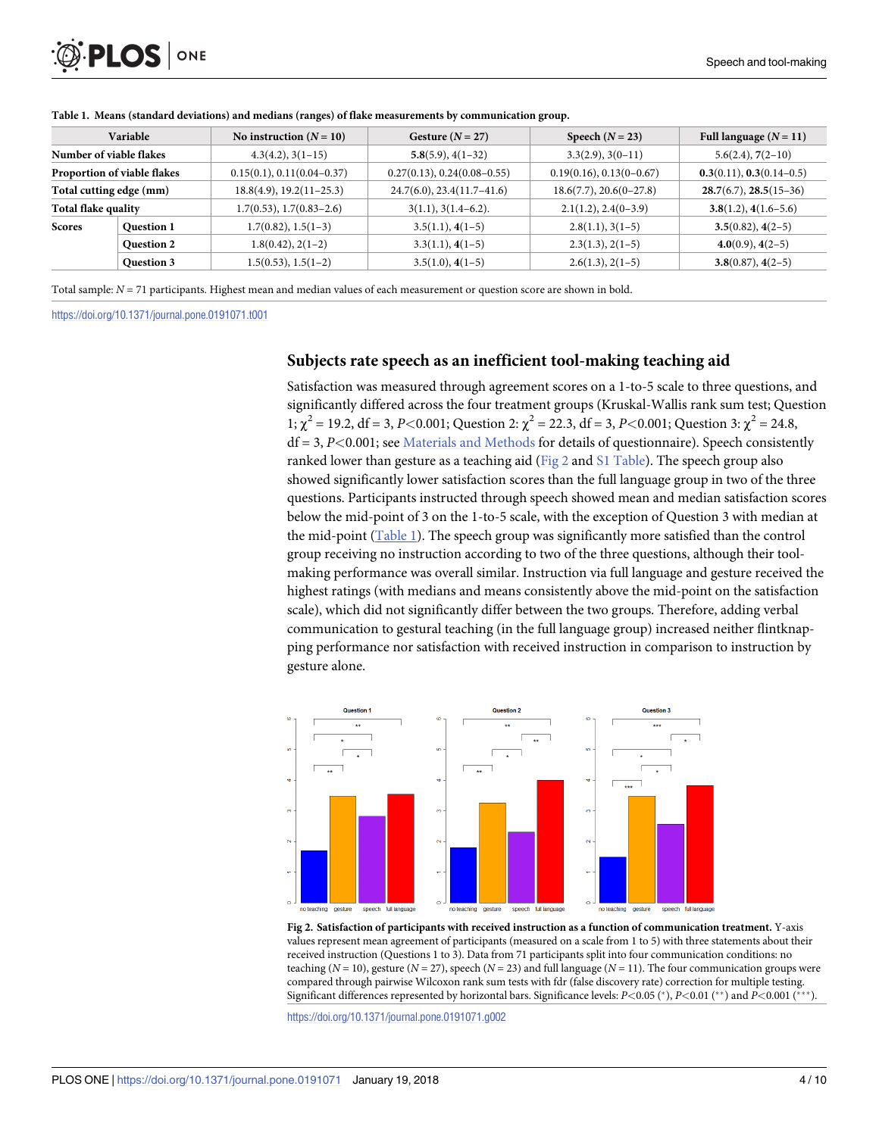<span id="page-3-0"></span>

| Variable                    |                   | No instruction $(N = 10)$    | Gesture $(N = 27)$            | Speech $(N = 23)$          | Full language $(N = 11)$   |
|-----------------------------|-------------------|------------------------------|-------------------------------|----------------------------|----------------------------|
| Number of viable flakes     |                   | $4.3(4.2), 3(1-15)$          | $5.8(5.9), 4(1-32)$           | $3.3(2.9), 3(0-11)$        | $5.6(2.4), 7(2-10)$        |
| Proportion of viable flakes |                   | $0.15(0.1), 0.11(0.04-0.37)$ | $0.27(0.13), 0.24(0.08-0.55)$ | $0.19(0.16), 0.13(0-0.67)$ | $0.3(0.11), 0.3(0.14-0.5)$ |
| Total cutting edge (mm)     |                   | $18.8(4.9), 19.2(11-25.3)$   | $24.7(6.0), 23.4(11.7-41.6)$  | $18.6(7.7), 20.6(0-27.8)$  | $28.7(6.7), 28.5(15-36)$   |
| Total flake quality         |                   | $1.7(0.53), 1.7(0.83-2.6)$   | $3(1.1), 3(1.4-6.2).$         | $2.1(1.2), 2.4(0-3.9)$     | $3.8(1.2), 4(1.6-5.6)$     |
| <b>Scores</b>               | <b>Question 1</b> | $1.7(0.82), 1.5(1-3)$        | $3.5(1.1), 4(1-5)$            | $2.8(1.1), 3(1-5)$         | $3.5(0.82), 4(2-5)$        |
|                             | <b>Question 2</b> | $1.8(0.42), 2(1-2)$          | $3.3(1.1), 4(1-5)$            | $2.3(1.3), 2(1-5)$         | $4.0(0.9), 4(2-5)$         |
|                             | Question 3        | $1.5(0.53), 1.5(1-2)$        | $3.5(1.0), 4(1-5)$            | $2.6(1.3), 2(1-5)$         | $3.8(0.87), 4(2-5)$        |

**[Table](#page-2-0) 1. Means (standard deviations) and medians (ranges) of flake measurements by communication group.**

Total sample: *N* = 71 participants. Highest mean and median values of each measurement or question score are shown in bold.

<https://doi.org/10.1371/journal.pone.0191071.t001>

#### **Subjects rate speech as an inefficient tool-making teaching aid**

Satisfaction was measured through agreement scores on a 1-to-5 scale to three questions, and significantly differed across the four treatment groups (Kruskal-Wallis rank sum test; Question 1;  $\chi^2$  = 19.2, df = 3, *P*<0.001; Question 2:  $\chi^2$  = 22.3, df = 3, *P*<0.001; Question 3:  $\chi^2$  = 24.8, df = 3, *P<*0.001; see [Materials](#page-5-0) and Methods for details of questionnaire). Speech consistently ranked lower than gesture as a teaching aid (Fig 2 and S1 [Table\)](#page-7-0). The speech group also showed significantly lower satisfaction scores than the full language group in two of the three questions. Participants instructed through speech showed mean and median satisfaction scores below the mid-point of 3 on the 1-to-5 scale, with the exception of Question 3 with median at the mid-point (Table 1). The speech group was significantly more satisfied than the control group receiving no instruction according to two of the three questions, although their toolmaking performance was overall similar. Instruction via full language and gesture received the highest ratings (with medians and means consistently above the mid-point on the satisfaction scale), which did not significantly differ between the two groups. Therefore, adding verbal communication to gestural teaching (in the full language group) increased neither flintknapping performance nor satisfaction with received instruction in comparison to instruction by gesture alone.



**Fig 2. Satisfaction of participants with received instruction as a function of communication treatment.** Y-axis values represent mean agreement of participants (measured on a scale from 1 to 5) with three statements about their received instruction (Questions 1 to 3). Data from 71 participants split into four communication conditions: no teaching (*N* = 10), gesture (*N* = 27), speech (*N* = 23) and full language (*N* = 11). The four communication groups were compared through pairwise Wilcoxon rank sum tests with fdr (false discovery rate) correction for multiple testing. Significant differences represented by horizontal bars. Significance levels:  $P$ <0.05 (\*),  $P$ <0.01 (\*\*) and  $P$ <0.001 (\*\*\*).

<https://doi.org/10.1371/journal.pone.0191071.g002>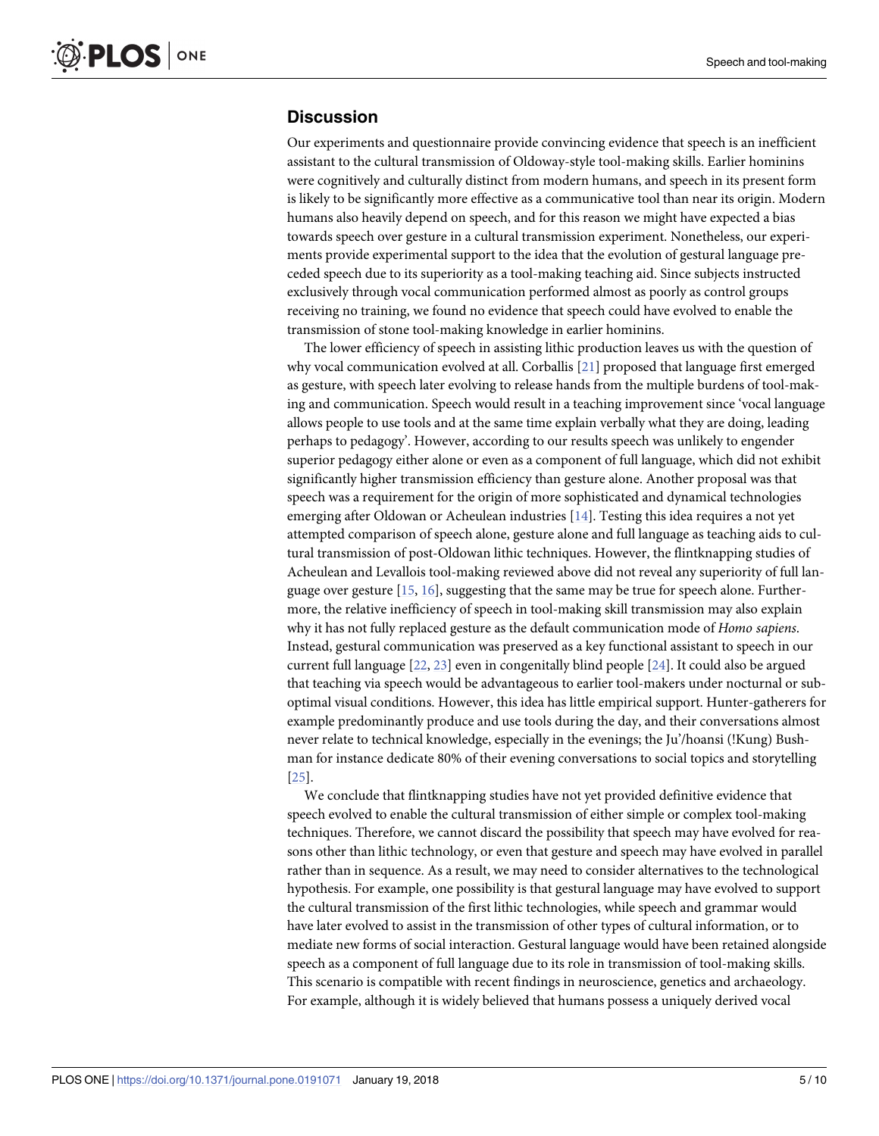#### <span id="page-4-0"></span>**Discussion**

Our experiments and questionnaire provide convincing evidence that speech is an inefficient assistant to the cultural transmission of Oldoway-style tool-making skills. Earlier hominins were cognitively and culturally distinct from modern humans, and speech in its present form is likely to be significantly more effective as a communicative tool than near its origin. Modern humans also heavily depend on speech, and for this reason we might have expected a bias towards speech over gesture in a cultural transmission experiment. Nonetheless, our experiments provide experimental support to the idea that the evolution of gestural language preceded speech due to its superiority as a tool-making teaching aid. Since subjects instructed exclusively through vocal communication performed almost as poorly as control groups receiving no training, we found no evidence that speech could have evolved to enable the transmission of stone tool-making knowledge in earlier hominins.

The lower efficiency of speech in assisting lithic production leaves us with the question of why vocal communication evolved at all. Corballis [\[21\]](#page-8-0) proposed that language first emerged as gesture, with speech later evolving to release hands from the multiple burdens of tool-making and communication. Speech would result in a teaching improvement since 'vocal language allows people to use tools and at the same time explain verbally what they are doing, leading perhaps to pedagogy'. However, according to our results speech was unlikely to engender superior pedagogy either alone or even as a component of full language, which did not exhibit significantly higher transmission efficiency than gesture alone. Another proposal was that speech was a requirement for the origin of more sophisticated and dynamical technologies emerging after Oldowan or Acheulean industries [\[14\]](#page-8-0). Testing this idea requires a not yet attempted comparison of speech alone, gesture alone and full language as teaching aids to cultural transmission of post-Oldowan lithic techniques. However, the flintknapping studies of Acheulean and Levallois tool-making reviewed above did not reveal any superiority of full language over gesture  $[15, 16]$  $[15, 16]$  $[15, 16]$ , suggesting that the same may be true for speech alone. Furthermore, the relative inefficiency of speech in tool-making skill transmission may also explain why it has not fully replaced gesture as the default communication mode of *Homo sapiens*. Instead, gestural communication was preserved as a key functional assistant to speech in our current full language [\[22,](#page-8-0) [23\]](#page-8-0) even in congenitally blind people [\[24\]](#page-8-0). It could also be argued that teaching via speech would be advantageous to earlier tool-makers under nocturnal or suboptimal visual conditions. However, this idea has little empirical support. Hunter-gatherers for example predominantly produce and use tools during the day, and their conversations almost never relate to technical knowledge, especially in the evenings; the Ju'/hoansi (!Kung) Bushman for instance dedicate 80% of their evening conversations to social topics and storytelling [\[25\]](#page-8-0).

We conclude that flintknapping studies have not yet provided definitive evidence that speech evolved to enable the cultural transmission of either simple or complex tool-making techniques. Therefore, we cannot discard the possibility that speech may have evolved for reasons other than lithic technology, or even that gesture and speech may have evolved in parallel rather than in sequence. As a result, we may need to consider alternatives to the technological hypothesis. For example, one possibility is that gestural language may have evolved to support the cultural transmission of the first lithic technologies, while speech and grammar would have later evolved to assist in the transmission of other types of cultural information, or to mediate new forms of social interaction. Gestural language would have been retained alongside speech as a component of full language due to its role in transmission of tool-making skills. This scenario is compatible with recent findings in neuroscience, genetics and archaeology. For example, although it is widely believed that humans possess a uniquely derived vocal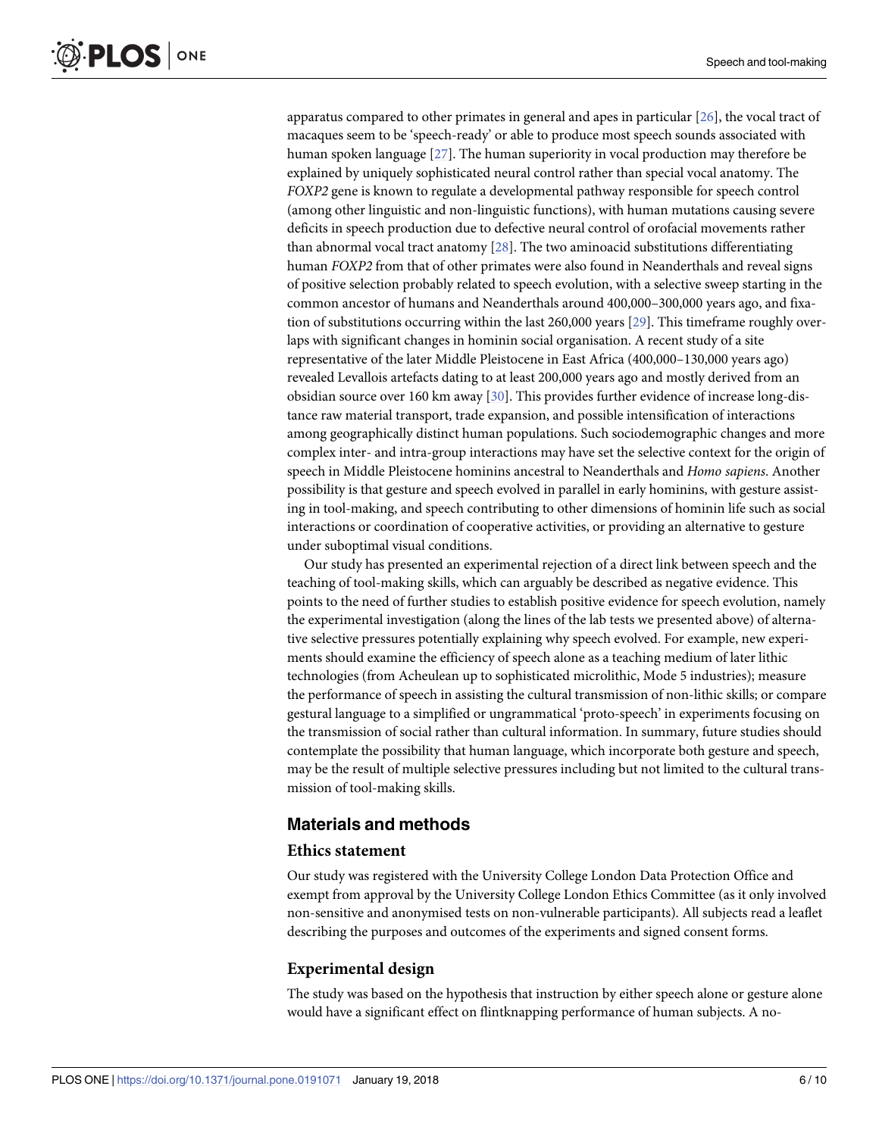<span id="page-5-0"></span>apparatus compared to other primates in general and apes in particular [[26](#page-8-0)], the vocal tract of macaques seem to be 'speech-ready' or able to produce most speech sounds associated with human spoken language [[27](#page-9-0)]. The human superiority in vocal production may therefore be explained by uniquely sophisticated neural control rather than special vocal anatomy. The *FOXP2* gene is known to regulate a developmental pathway responsible for speech control (among other linguistic and non-linguistic functions), with human mutations causing severe deficits in speech production due to defective neural control of orofacial movements rather than abnormal vocal tract anatomy [\[28\]](#page-9-0). The two aminoacid substitutions differentiating human *FOXP2* from that of other primates were also found in Neanderthals and reveal signs of positive selection probably related to speech evolution, with a selective sweep starting in the common ancestor of humans and Neanderthals around 400,000–300,000 years ago, and fixation of substitutions occurring within the last 260,000 years [[29](#page-9-0)]. This timeframe roughly overlaps with significant changes in hominin social organisation. A recent study of a site representative of the later Middle Pleistocene in East Africa (400,000–130,000 years ago) revealed Levallois artefacts dating to at least 200,000 years ago and mostly derived from an obsidian source over 160 km away [[30](#page-9-0)]. This provides further evidence of increase long-distance raw material transport, trade expansion, and possible intensification of interactions among geographically distinct human populations. Such sociodemographic changes and more complex inter- and intra-group interactions may have set the selective context for the origin of speech in Middle Pleistocene hominins ancestral to Neanderthals and *Homo sapiens*. Another possibility is that gesture and speech evolved in parallel in early hominins, with gesture assisting in tool-making, and speech contributing to other dimensions of hominin life such as social interactions or coordination of cooperative activities, or providing an alternative to gesture under suboptimal visual conditions.

Our study has presented an experimental rejection of a direct link between speech and the teaching of tool-making skills, which can arguably be described as negative evidence. This points to the need of further studies to establish positive evidence for speech evolution, namely the experimental investigation (along the lines of the lab tests we presented above) of alternative selective pressures potentially explaining why speech evolved. For example, new experiments should examine the efficiency of speech alone as a teaching medium of later lithic technologies (from Acheulean up to sophisticated microlithic, Mode 5 industries); measure the performance of speech in assisting the cultural transmission of non-lithic skills; or compare gestural language to a simplified or ungrammatical 'proto-speech' in experiments focusing on the transmission of social rather than cultural information. In summary, future studies should contemplate the possibility that human language, which incorporate both gesture and speech, may be the result of multiple selective pressures including but not limited to the cultural transmission of tool-making skills.

# **Materials and methods**

#### **Ethics statement**

Our study was registered with the University College London Data Protection Office and exempt from approval by the University College London Ethics Committee (as it only involved non-sensitive and anonymised tests on non-vulnerable participants). All subjects read a leaflet describing the purposes and outcomes of the experiments and signed consent forms.

#### **Experimental design**

The study was based on the hypothesis that instruction by either speech alone or gesture alone would have a significant effect on flintknapping performance of human subjects. A no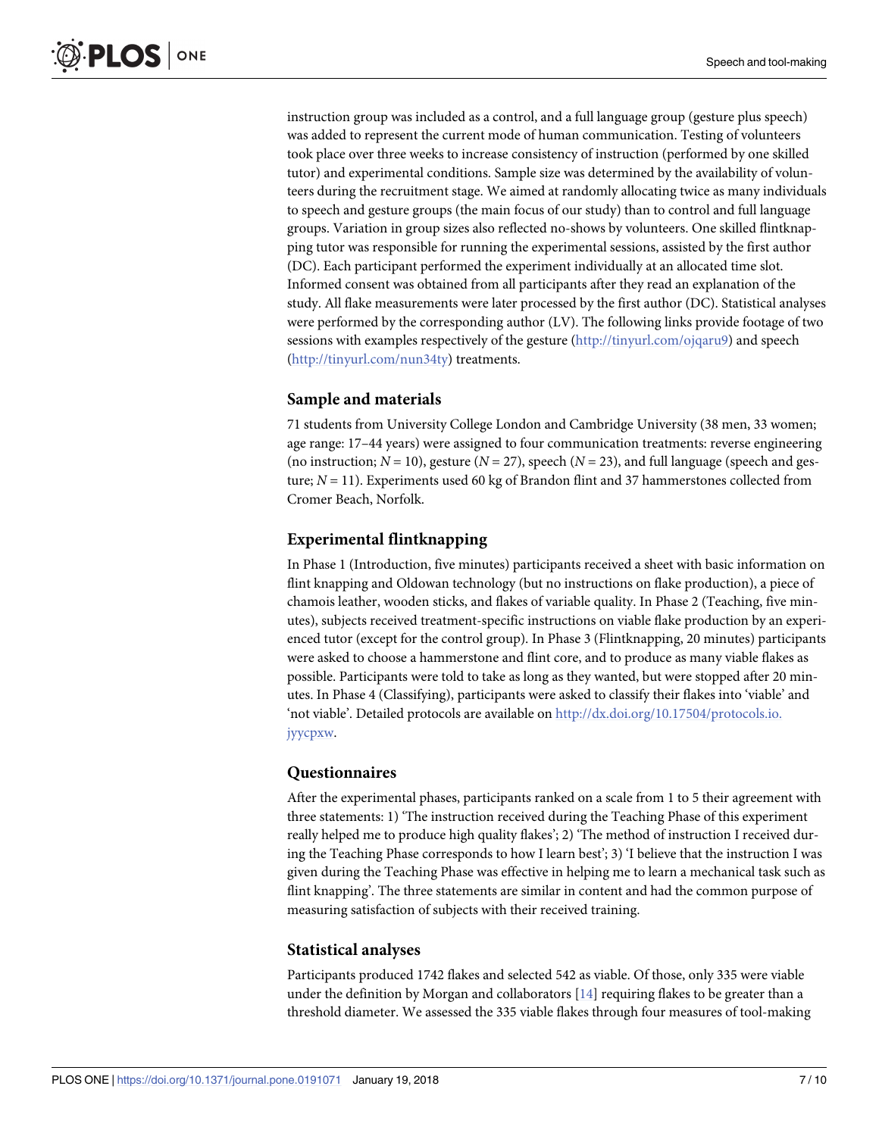instruction group was included as a control, and a full language group (gesture plus speech) was added to represent the current mode of human communication. Testing of volunteers took place over three weeks to increase consistency of instruction (performed by one skilled tutor) and experimental conditions. Sample size was determined by the availability of volunteers during the recruitment stage. We aimed at randomly allocating twice as many individuals to speech and gesture groups (the main focus of our study) than to control and full language groups. Variation in group sizes also reflected no-shows by volunteers. One skilled flintknapping tutor was responsible for running the experimental sessions, assisted by the first author (DC). Each participant performed the experiment individually at an allocated time slot. Informed consent was obtained from all participants after they read an explanation of the study. All flake measurements were later processed by the first author (DC). Statistical analyses were performed by the corresponding author (LV). The following links provide footage of two sessions with examples respectively of the gesture [\(http://tinyurl.com/ojqaru9](http://tinyurl.com/ojqaru9)) and speech [\(http://tinyurl.com/nun34ty\)](http://tinyurl.com/nun34ty) treatments.

#### **Sample and materials**

71 students from University College London and Cambridge University (38 men, 33 women; age range: 17–44 years) were assigned to four communication treatments: reverse engineering (no instruction;  $N = 10$ ), gesture ( $N = 27$ ), speech ( $N = 23$ ), and full language (speech and gesture; *N* = 11). Experiments used 60 kg of Brandon flint and 37 hammerstones collected from Cromer Beach, Norfolk.

# **Experimental flintknapping**

In Phase 1 (Introduction, five minutes) participants received a sheet with basic information on flint knapping and Oldowan technology (but no instructions on flake production), a piece of chamois leather, wooden sticks, and flakes of variable quality. In Phase 2 (Teaching, five minutes), subjects received treatment-specific instructions on viable flake production by an experienced tutor (except for the control group). In Phase 3 (Flintknapping, 20 minutes) participants were asked to choose a hammerstone and flint core, and to produce as many viable flakes as possible. Participants were told to take as long as they wanted, but were stopped after 20 minutes. In Phase 4 (Classifying), participants were asked to classify their flakes into 'viable' and 'not viable'. Detailed protocols are available on [http://dx.doi.org/10.17504/protocols.io.](http://dx.doi.org/10.17504/protocols.io.jyycpxw) [jyycpxw.](http://dx.doi.org/10.17504/protocols.io.jyycpxw)

#### **Questionnaires**

After the experimental phases, participants ranked on a scale from 1 to 5 their agreement with three statements: 1) 'The instruction received during the Teaching Phase of this experiment really helped me to produce high quality flakes'; 2) 'The method of instruction I received during the Teaching Phase corresponds to how I learn best'; 3) 'I believe that the instruction I was given during the Teaching Phase was effective in helping me to learn a mechanical task such as flint knapping'. The three statements are similar in content and had the common purpose of measuring satisfaction of subjects with their received training.

#### **Statistical analyses**

Participants produced 1742 flakes and selected 542 as viable. Of those, only 335 were viable under the definition by Morgan and collaborators  $[14]$  $[14]$  $[14]$  requiring flakes to be greater than a threshold diameter. We assessed the 335 viable flakes through four measures of tool-making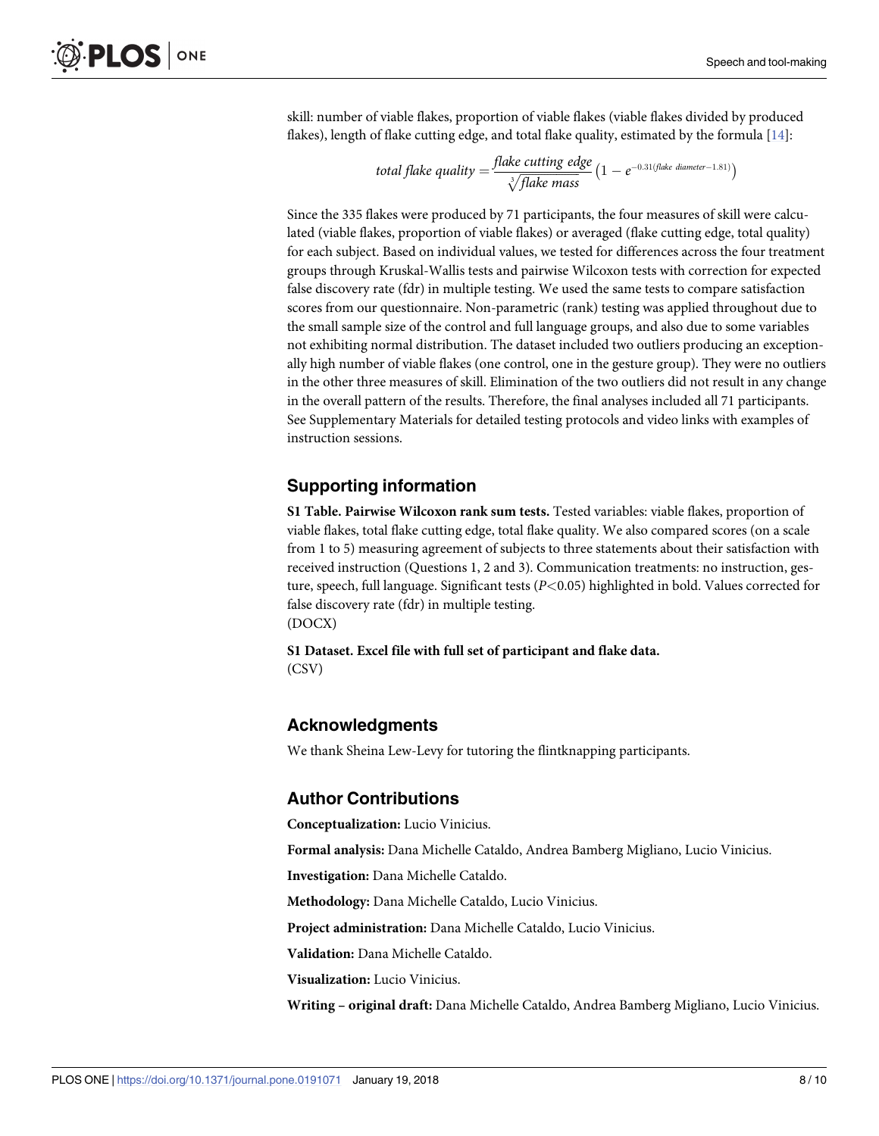<span id="page-7-0"></span>skill: number of viable flakes, proportion of viable flakes (viable flakes divided by produced flakes), length of flake cutting edge, and total flake quality, estimated by the formula [\[14\]](#page-8-0):

$$
total\,fake\,quality = \frac{false\,cutting\,edge}{\sqrt[3]{false\;mass}}\left(1 - e^{-0.31\{fake\;diameter - 1.81\}}\right)
$$

Since the 335 flakes were produced by 71 participants, the four measures of skill were calculated (viable flakes, proportion of viable flakes) or averaged (flake cutting edge, total quality) for each subject. Based on individual values, we tested for differences across the four treatment groups through Kruskal-Wallis tests and pairwise Wilcoxon tests with correction for expected false discovery rate (fdr) in multiple testing. We used the same tests to compare satisfaction scores from our questionnaire. Non-parametric (rank) testing was applied throughout due to the small sample size of the control and full language groups, and also due to some variables not exhibiting normal distribution. The dataset included two outliers producing an exceptionally high number of viable flakes (one control, one in the gesture group). They were no outliers in the other three measures of skill. Elimination of the two outliers did not result in any change in the overall pattern of the results. Therefore, the final analyses included all 71 participants. See Supplementary Materials for detailed testing protocols and video links with examples of instruction sessions.

# **Supporting information**

**S1 [Table.](http://www.plosone.org/article/fetchSingleRepresentation.action?uri=info:doi/10.1371/journal.pone.0191071.s001) Pairwise Wilcoxon rank sum tests.** Tested variables: viable flakes, proportion of viable flakes, total flake cutting edge, total flake quality. We also compared scores (on a scale from 1 to 5) measuring agreement of subjects to three statements about their satisfaction with received instruction (Questions 1, 2 and 3). Communication treatments: no instruction, gesture, speech, full language. Significant tests (*P<*0.05) highlighted in bold. Values corrected for false discovery rate (fdr) in multiple testing. (DOCX)

**S1 [Dataset.](http://www.plosone.org/article/fetchSingleRepresentation.action?uri=info:doi/10.1371/journal.pone.0191071.s002) Excel file with full set of participant and flake data.** (CSV)

# **Acknowledgments**

We thank Sheina Lew-Levy for tutoring the flintknapping participants.

#### **Author Contributions**

**Conceptualization:** Lucio Vinicius.

**Formal analysis:** Dana Michelle Cataldo, Andrea Bamberg Migliano, Lucio Vinicius.

**Investigation:** Dana Michelle Cataldo.

**Methodology:** Dana Michelle Cataldo, Lucio Vinicius.

**Project administration:** Dana Michelle Cataldo, Lucio Vinicius.

**Validation:** Dana Michelle Cataldo.

**Visualization:** Lucio Vinicius.

**Writing – original draft:** Dana Michelle Cataldo, Andrea Bamberg Migliano, Lucio Vinicius.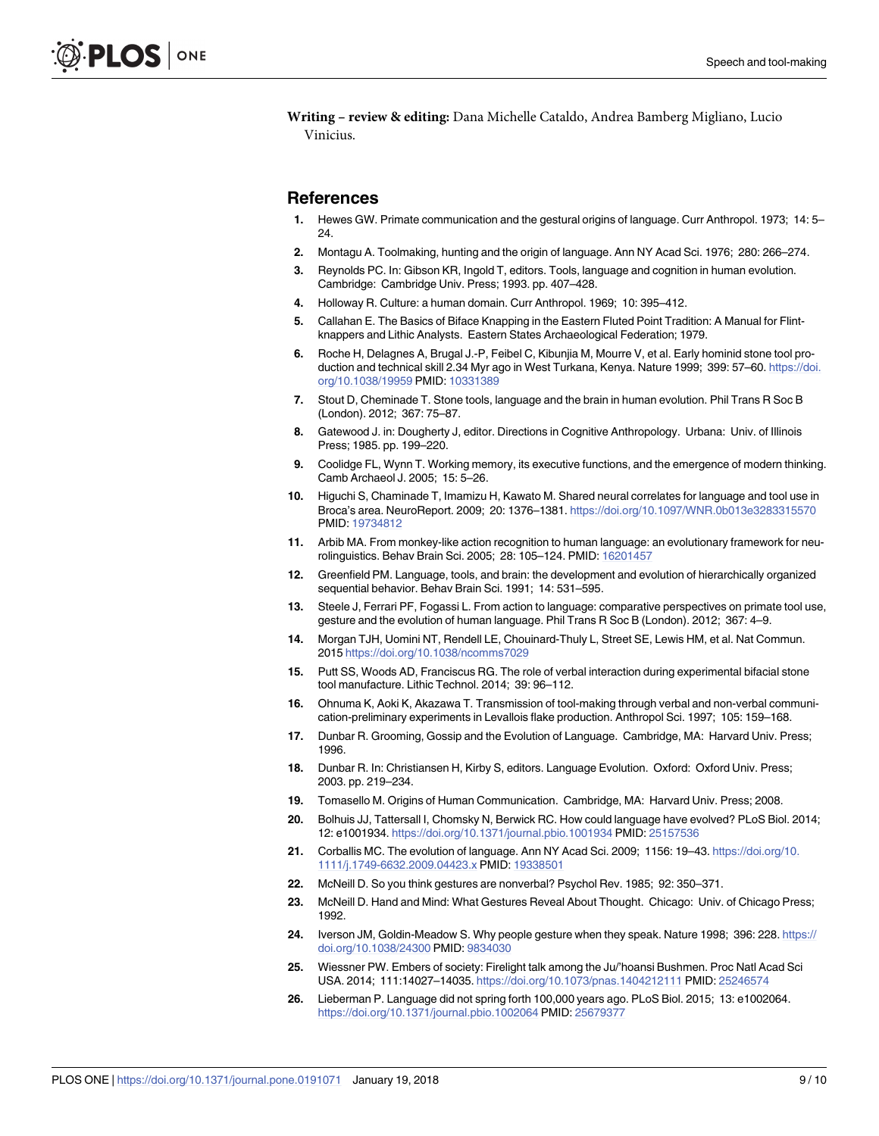<span id="page-8-0"></span>**Writing – review & editing:** Dana Michelle Cataldo, Andrea Bamberg Migliano, Lucio Vinicius.

#### **References**

- **[1](#page-0-0).** Hewes GW. Primate communication and the gestural origins of language. Curr Anthropol. 1973; 14: 5– 24.
- **2.** Montagu A. Toolmaking, hunting and the origin of language. Ann NY Acad Sci. 1976; 280: 266–274.
- **3.** Reynolds PC. In: Gibson KR, Ingold T, editors. Tools, language and cognition in human evolution. Cambridge: Cambridge Univ. Press; 1993. pp. 407–428.
- **4.** Holloway R. Culture: a human domain. Curr Anthropol. 1969; 10: 395–412.
- **5.** Callahan E. The Basics of Biface Knapping in the Eastern Fluted Point Tradition: A Manual for Flintknappers and Lithic Analysts. Eastern States Archaeological Federation; 1979.
- **6.** Roche H, Delagnes A, Brugal J.-P, Feibel C, Kibunjia M, Mourre V, et al. Early hominid stone tool production and technical skill 2.34 Myr ago in West Turkana, Kenya. Nature 1999; 399: 57–60. [https://doi.](https://doi.org/10.1038/19959) [org/10.1038/19959](https://doi.org/10.1038/19959) PMID: [10331389](http://www.ncbi.nlm.nih.gov/pubmed/10331389)
- **[7](#page-0-0).** Stout D, Cheminade T. Stone tools, language and the brain in human evolution. Phil Trans R Soc B (London). 2012; 367: 75–87.
- **[8](#page-0-0).** Gatewood J. in: Dougherty J, editor. Directions in Cognitive Anthropology. Urbana: Univ. of Illinois Press; 1985. pp. 199–220.
- **[9](#page-0-0).** Coolidge FL, Wynn T. Working memory, its executive functions, and the emergence of modern thinking. Camb Archaeol J. 2005; 15: 5–26.
- **[10](#page-0-0).** Higuchi S, Chaminade T, Imamizu H, Kawato M. Shared neural correlates for language and tool use in Broca's area. NeuroReport. 2009; 20: 1376–1381. <https://doi.org/10.1097/WNR.0b013e3283315570> PMID: [19734812](http://www.ncbi.nlm.nih.gov/pubmed/19734812)
- **[11](#page-0-0).** Arbib MA. From monkey-like action recognition to human language: an evolutionary framework for neurolinguistics. Behav Brain Sci. 2005; 28: 105–124. PMID: [16201457](http://www.ncbi.nlm.nih.gov/pubmed/16201457)
- **12.** Greenfield PM. Language, tools, and brain: the development and evolution of hierarchically organized sequential behavior. Behav Brain Sci. 1991; 14: 531–595.
- **[13](#page-0-0).** Steele J, Ferrari PF, Fogassi L. From action to language: comparative perspectives on primate tool use, gesture and the evolution of human language. Phil Trans R Soc B (London). 2012; 367: 4–9.
- **[14](#page-0-0).** Morgan TJH, Uomini NT, Rendell LE, Chouinard-Thuly L, Street SE, Lewis HM, et al. Nat Commun. 2015 <https://doi.org/10.1038/ncomms7029>
- **[15](#page-1-0).** Putt SS, Woods AD, Franciscus RG. The role of verbal interaction during experimental bifacial stone tool manufacture. Lithic Technol. 2014; 39: 96–112.
- **[16](#page-1-0).** Ohnuma K, Aoki K, Akazawa T. Transmission of tool-making through verbal and non-verbal communication-preliminary experiments in Levallois flake production. Anthropol Sci. 1997; 105: 159–168.
- **[17](#page-1-0).** Dunbar R. Grooming, Gossip and the Evolution of Language. Cambridge, MA: Harvard Univ. Press; 1996.
- **18.** Dunbar R. In: Christiansen H, Kirby S, editors. Language Evolution. Oxford: Oxford Univ. Press; 2003. pp. 219–234.
- **[19](#page-1-0).** Tomasello M. Origins of Human Communication. Cambridge, MA: Harvard Univ. Press; 2008.
- **[20](#page-1-0).** Bolhuis JJ, Tattersall I, Chomsky N, Berwick RC. How could language have evolved? PLoS Biol. 2014; 12: e1001934. <https://doi.org/10.1371/journal.pbio.1001934> PMID: [25157536](http://www.ncbi.nlm.nih.gov/pubmed/25157536)
- **[21](#page-4-0).** Corballis MC. The evolution of language. Ann NY Acad Sci. 2009; 1156: 19–43. [https://doi.org/10.](https://doi.org/10.1111/j.1749-6632.2009.04423.x) [1111/j.1749-6632.2009.04423.x](https://doi.org/10.1111/j.1749-6632.2009.04423.x) PMID: [19338501](http://www.ncbi.nlm.nih.gov/pubmed/19338501)
- **[22](#page-4-0).** McNeill D. So you think gestures are nonverbal? Psychol Rev. 1985; 92: 350–371.
- **[23](#page-4-0).** McNeill D. Hand and Mind: What Gestures Reveal About Thought. Chicago: Univ. of Chicago Press; 1992.
- **[24](#page-4-0).** Iverson JM, Goldin-Meadow S. Why people gesture when they speak. Nature 1998; 396: 228. [https://](https://doi.org/10.1038/24300) [doi.org/10.1038/24300](https://doi.org/10.1038/24300) PMID: [9834030](http://www.ncbi.nlm.nih.gov/pubmed/9834030)
- **[25](#page-4-0).** Wiessner PW. Embers of society: Firelight talk among the Ju/'hoansi Bushmen. Proc Natl Acad Sci USA. 2014; 111:14027–14035. <https://doi.org/10.1073/pnas.1404212111> PMID: [25246574](http://www.ncbi.nlm.nih.gov/pubmed/25246574)
- **[26](#page-5-0).** Lieberman P. Language did not spring forth 100,000 years ago. PLoS Biol. 2015; 13: e1002064. <https://doi.org/10.1371/journal.pbio.1002064> PMID: [25679377](http://www.ncbi.nlm.nih.gov/pubmed/25679377)